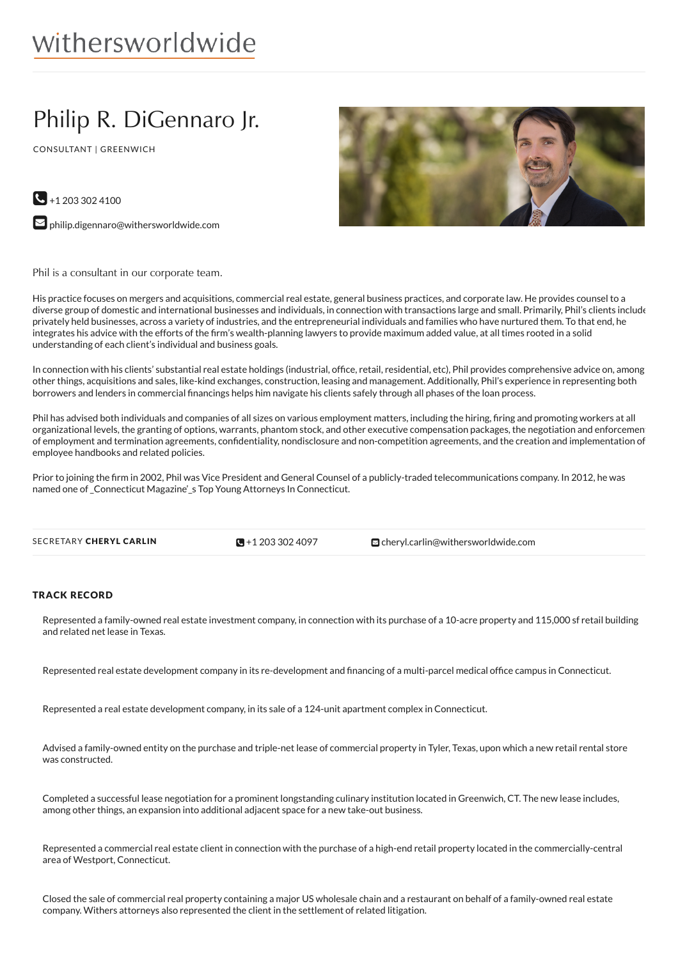# withersworldwide

## Philip R. DiGennaro Jr.

CONSULTANT | GREENWICH



 $\bigodot$  +1 203 302 4100

 $\blacktriangleright$  [philip.digennaro@withersworldwide.com](mailto:philip.digennaro@withersworldwide.com?subject=Website Enquiry - Profile Page)

Phil is a consultant in our corporate team.

His practice focuses on mergers and acquisitions, commercial real estate, general business practices, and corporate law. He provides counsel to a diverse group of domestic and international businesses and individuals, in connection with transactions large and small. Primarily, Phil's clients include privately held businesses, across a variety of industries, and the entrepreneurial individuals and families who have nurtured them. To that end, he integrates his advice with the efforts of the firm's wealth-planning lawyers to provide maximum added value, at all times rooted in a solid understanding of each client's individual and business goals.

In connection with his clients' substantial real estate holdings (industrial, office, retail, residential, etc), Phil provides comprehensive advice on, among other things, acquisitions and sales, like-kind exchanges, construction, leasing and management. Additionally, Phil's experience in representing both borrowers and lenders in commercial financings helps him navigate his clients safely through all phases of the loan process.

Phil has advised both individuals and companies of all sizes on various employment matters, including the hiring, firing and promoting workers at all organizational levels, the granting of options, warrants, phantom stock, and other executive compensation packages, the negotiation and enforcement of employment and termination agreements, confidentiality, nondisclosure and non-competition agreements, and the creation and implementation of employee handbooks and related policies.

Prior to joining the firm in 2002, Phil was Vice President and General Counsel of a publicly-traded telecommunications company. In 2012, he was named one of\_Connecticut Magazine'\_s Top Young Attorneys In Connecticut.

 $\blacksquare$  +1 203 302 4097

**S**[cheryl.carlin@withersworldwide.com](mailto:cheryl.carlin@withersworldwide.com)

### TRACK RECORD

Represented a family-owned real estate investment company, in connection with its purchase of a 10-acre property and 115,000 sf retail building and related net lease in Texas.

Represented real estate development company in its re-development and financing of a multi-parcel medical office campus in Connecticut.

Represented a real estate development company, in its sale of a 124-unit apartment complex in Connecticut.

Advised a family-owned entity on the purchase and triple-net lease of commercial property in Tyler, Texas, upon which a new retail rental store was constructed.

Completed a successful lease negotiation for a prominent longstanding culinary institution located in Greenwich, CT. The new lease includes, among other things, an expansion into additional adjacent space for a new take-out business.

Represented a commercial real estate client in connection with the purchase of a high-end retail property located in the commercially-central area of Westport, Connecticut.

Closed the sale of commercial real property containing a major US wholesale chain and a restaurant on behalf of a family-owned real estate company. Withers attorneys also represented the client in the settlement of related litigation.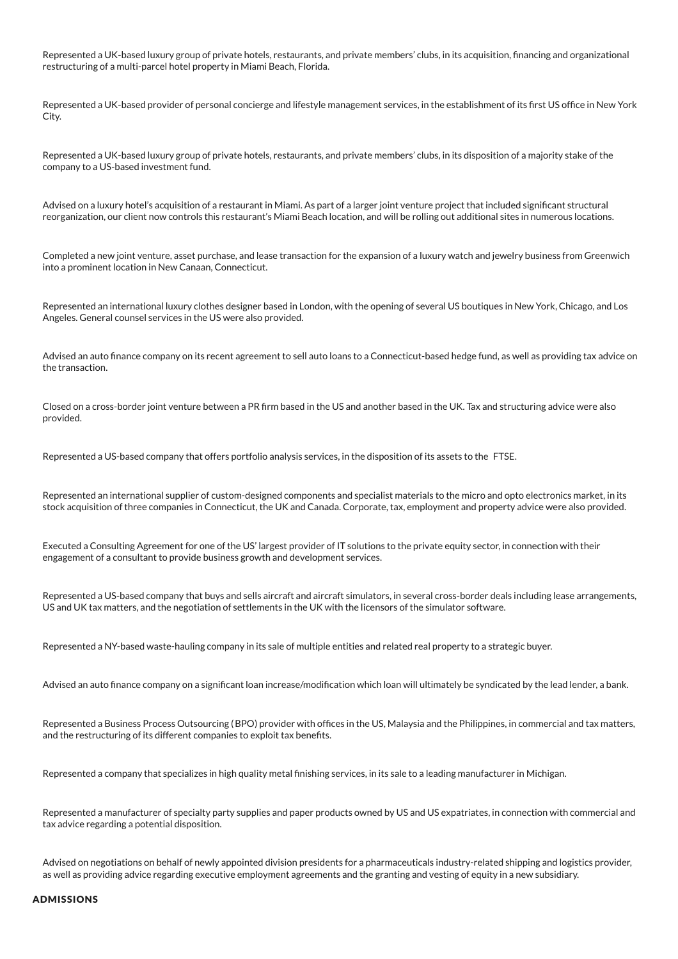Represented a UK-based luxury group of private hotels, restaurants, and private members' clubs, in its acquisition, financing and organizational restructuring of a multi-parcel hotel property in Miami Beach, Florida.

Represented a UK-based provider of personal concierge and lifestyle management services, in the establishment of its first US office in New York City.

Represented a UK-based luxury group of private hotels, restaurants, and private members' clubs, in its disposition of a majority stake of the company to a US-based investment fund.

Advised on a luxury hotel's acquisition of a restaurant in Miami. As part of a larger joint venture project that included significant structural reorganization, our client now controls this restaurant's Miami Beach location, and will be rolling out additional sites in numerous locations.

Completed a new joint venture, asset purchase, and lease transaction for the expansion of a luxury watch and jewelry business from Greenwich into a prominent location in New Canaan, Connecticut.

Represented an international luxury clothes designer based in London, with the opening of several US boutiques in New York, Chicago, and Los Angeles. General counsel services in the US were also provided.

Advised an auto finance company on its recent agreement to sell auto loans to a Connecticut-based hedge fund, as well as providing tax advice on the transaction.

Closed on a cross-border joint venture between a PR firm based in the US and another based in the UK. Tax and structuring advice were also provided.

Represented a US-based company that offers portfolio analysis services, in the disposition of its assets to the FTSE.

Represented an international supplier of custom-designed components and specialist materials to the micro and opto electronics market, in its stock acquisition of three companies in Connecticut, the UK and Canada. Corporate, tax, employment and property advice were also provided.

Executed a Consulting Agreement for one of the US' largest provider of IT solutions to the private equity sector, in connection with their engagement of a consultant to provide business growth and development services.

Represented a US-based company that buys and sells aircraft and aircraft simulators, in several cross-border deals including lease arrangements, US and UK tax matters, and the negotiation of settlements in the UK with the licensors of the simulator software.

Represented a NY-based waste-hauling company in its sale of multiple entities and related real property to a strategic buyer.

Advised an auto finance company on a significant loan increase/modification which loan will ultimately be syndicated by the lead lender, a bank.

Represented a Business Process Outsourcing (BPO) provider with offices in the US, Malaysia and the Philippines, in commercial and tax matters, and the restructuring of its different companies to exploit tax benefits.

Represented a company that specializes in high quality metal finishing services, in its sale to a leading manufacturer in Michigan.

Represented a manufacturer of specialty party supplies and paper products owned by US and US expatriates, in connection with commercial and tax advice regarding a potential disposition.

Advised on negotiations on behalf of newly appointed division presidents for a pharmaceuticals industry-related shipping and logistics provider, as well as providing advice regarding executive employment agreements and the granting and vesting of equity in a new subsidiary.

#### ADMISSIONS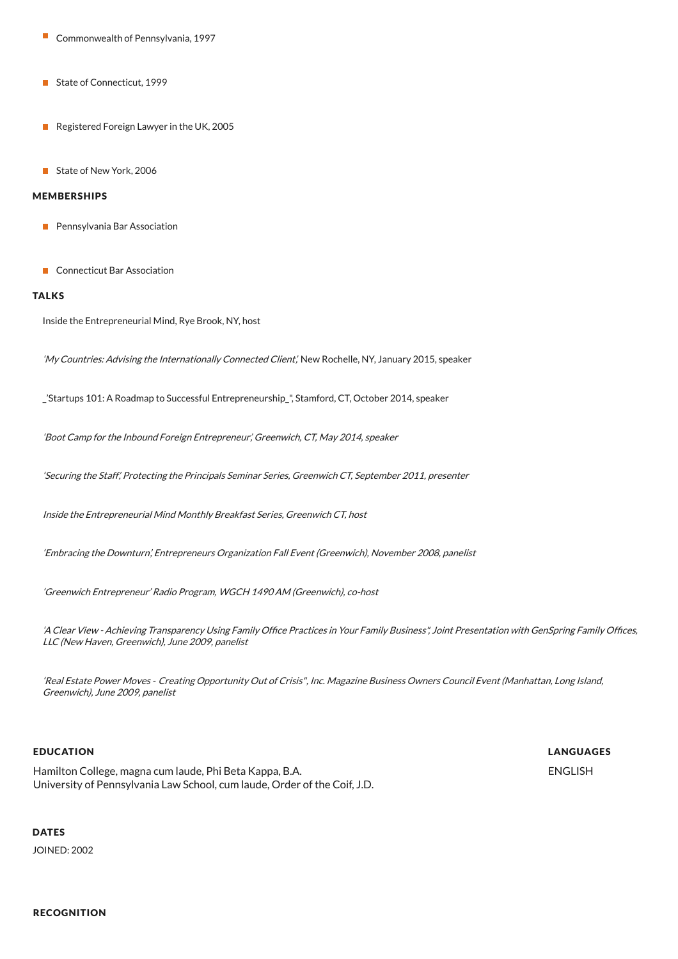- Commonwealth of Pennsylvania, 1997
- State of Connecticut, 1999
- Registered Foreign Lawyer in the UK, 2005
- State of New York, 2006

#### MEMBERSHIPS

- **Pennsylvania Bar Association**
- **Connecticut Bar Association**

#### TALKS

Inside the Entrepreneurial Mind, Rye Brook, NY, host

'My Countries: Advising the Internationally Connected Client', New Rochelle, NY, January 2015, speaker

\_'Startups 101: A Roadmap to Successful Entrepreneurship\_", Stamford, CT, October 2014, speaker

'Boot Camp for the Inbound Foreign Entrepreneur', Greenwich, CT, May 2014, speaker

'Securing the Staff', Protecting the Principals Seminar Series, Greenwich CT, September 2011, presenter

Inside the Entrepreneurial Mind Monthly Breakfast Series, Greenwich CT, host

'Embracing the Downturn', Entrepreneurs Organization Fall Event (Greenwich), November 2008, panelist

'Greenwich Entrepreneur' Radio Program, WGCH 1490 AM (Greenwich), co-host

'A Clear View - Achieving Transparency Using Family Office Practices in Your Family Business", Joint Presentation with GenSpring Family Offices, LLC (New Haven, Greenwich), June 2009, panelist

'Real Estate Power Moves - Creating Opportunity Out of Crisis", Inc. Magazine Business Owners Council Event (Manhattan, Long Island, Greenwich), June 2009, panelist

#### EDUCATION

Hamilton College, magna cum laude, Phi Beta Kappa, B.A. University of Pennsylvania Law School, cum laude, Order of the Coif, J.D. LANGUAGES ENGLISH

### **DATES**

JOINED: 2002